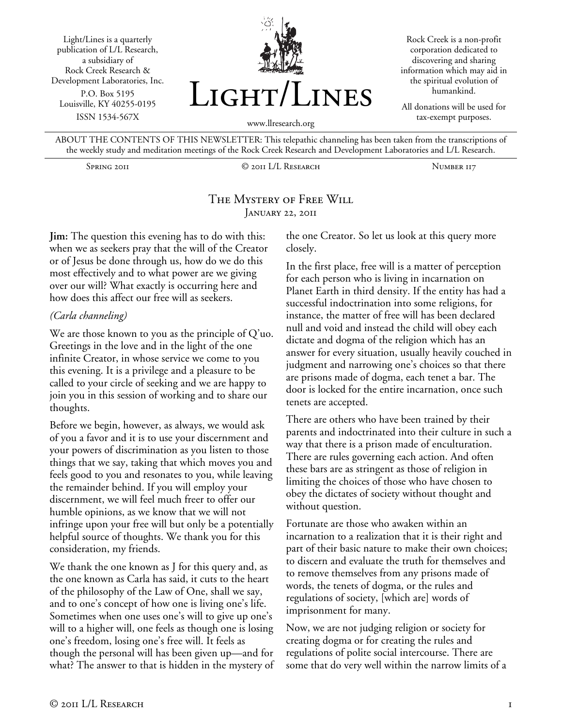Light/Lines is a quarterly publication of L/L Research, a subsidiary of Rock Creek Research & Development Laboratories, Inc. P.O. Box 5195 Louisville, KY 40255-0195 ISSN 1534-567X



Rock Creek is a non-profit corporation dedicated to discovering and sharing information which may aid in the spiritual evolution of humankind.

All donations will be used for tax-exempt purposes.

www.llresearch.org

ABOUT THE CONTENTS OF THIS NEWSLETTER: This telepathic channeling has been taken from the transcriptions of the weekly study and meditation meetings of the Rock Creek Research and Development Laboratories and L/L Research.

Spring 2011 © 2011 L/L Research Number 117

# The Mystery of Free Will January 22, 2011

**Jim:** The question this evening has to do with this: when we as seekers pray that the will of the Creator or of Jesus be done through us, how do we do this most effectively and to what power are we giving over our will? What exactly is occurring here and how does this affect our free will as seekers.

## *(Carla channeling)*

We are those known to you as the principle of Q'uo. Greetings in the love and in the light of the one infinite Creator, in whose service we come to you this evening. It is a privilege and a pleasure to be called to your circle of seeking and we are happy to join you in this session of working and to share our thoughts.

Before we begin, however, as always, we would ask of you a favor and it is to use your discernment and your powers of discrimination as you listen to those things that we say, taking that which moves you and feels good to you and resonates to you, while leaving the remainder behind. If you will employ your discernment, we will feel much freer to offer our humble opinions, as we know that we will not infringe upon your free will but only be a potentially helpful source of thoughts. We thank you for this consideration, my friends.

We thank the one known as J for this query and, as the one known as Carla has said, it cuts to the heart of the philosophy of the Law of One, shall we say, and to one's concept of how one is living one's life. Sometimes when one uses one's will to give up one's will to a higher will, one feels as though one is losing one's freedom, losing one's free will. It feels as though the personal will has been given up—and for what? The answer to that is hidden in the mystery of

the one Creator. So let us look at this query more closely.

In the first place, free will is a matter of perception for each person who is living in incarnation on Planet Earth in third density. If the entity has had a successful indoctrination into some religions, for instance, the matter of free will has been declared null and void and instead the child will obey each dictate and dogma of the religion which has an answer for every situation, usually heavily couched in judgment and narrowing one's choices so that there are prisons made of dogma, each tenet a bar. The door is locked for the entire incarnation, once such tenets are accepted.

There are others who have been trained by their parents and indoctrinated into their culture in such a way that there is a prison made of enculturation. There are rules governing each action. And often these bars are as stringent as those of religion in limiting the choices of those who have chosen to obey the dictates of society without thought and without question.

Fortunate are those who awaken within an incarnation to a realization that it is their right and part of their basic nature to make their own choices; to discern and evaluate the truth for themselves and to remove themselves from any prisons made of words, the tenets of dogma, or the rules and regulations of society, [which are] words of imprisonment for many.

Now, we are not judging religion or society for creating dogma or for creating the rules and regulations of polite social intercourse. There are some that do very well within the narrow limits of a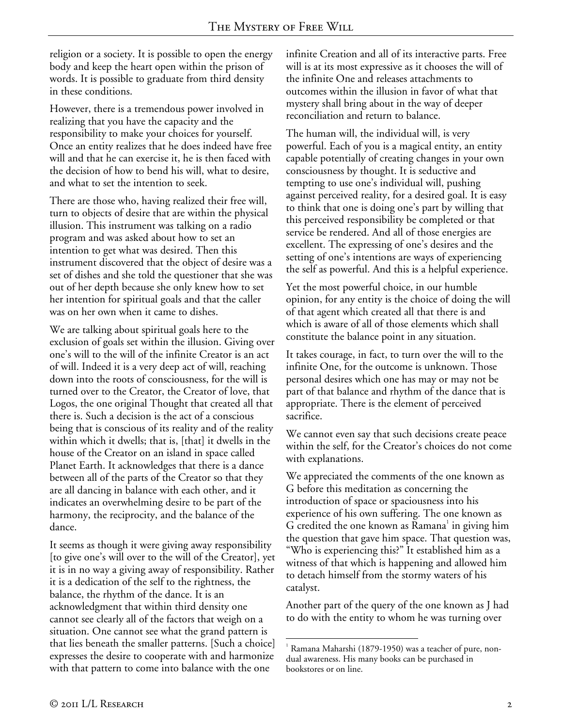religion or a society. It is possible to open the energy body and keep the heart open within the prison of words. It is possible to graduate from third density in these conditions.

However, there is a tremendous power involved in realizing that you have the capacity and the responsibility to make your choices for yourself. Once an entity realizes that he does indeed have free will and that he can exercise it, he is then faced with the decision of how to bend his will, what to desire, and what to set the intention to seek.

There are those who, having realized their free will, turn to objects of desire that are within the physical illusion. This instrument was talking on a radio program and was asked about how to set an intention to get what was desired. Then this instrument discovered that the object of desire was a set of dishes and she told the questioner that she was out of her depth because she only knew how to set her intention for spiritual goals and that the caller was on her own when it came to dishes.

We are talking about spiritual goals here to the exclusion of goals set within the illusion. Giving over one's will to the will of the infinite Creator is an act of will. Indeed it is a very deep act of will, reaching down into the roots of consciousness, for the will is turned over to the Creator, the Creator of love, that Logos, the one original Thought that created all that there is. Such a decision is the act of a conscious being that is conscious of its reality and of the reality within which it dwells; that is, [that] it dwells in the house of the Creator on an island in space called Planet Earth. It acknowledges that there is a dance between all of the parts of the Creator so that they are all dancing in balance with each other, and it indicates an overwhelming desire to be part of the harmony, the reciprocity, and the balance of the dance.

It seems as though it were giving away responsibility [to give one's will over to the will of the Creator], yet it is in no way a giving away of responsibility. Rather it is a dedication of the self to the rightness, the balance, the rhythm of the dance. It is an acknowledgment that within third density one cannot see clearly all of the factors that weigh on a situation. One cannot see what the grand pattern is that lies beneath the smaller patterns. [Such a choice] expresses the desire to cooperate with and harmonize with that pattern to come into balance with the one

infinite Creation and all of its interactive parts. Free will is at its most expressive as it chooses the will of the infinite One and releases attachments to outcomes within the illusion in favor of what that mystery shall bring about in the way of deeper reconciliation and return to balance.

The human will, the individual will, is very powerful. Each of you is a magical entity, an entity capable potentially of creating changes in your own consciousness by thought. It is seductive and tempting to use one's individual will, pushing against perceived reality, for a desired goal. It is easy to think that one is doing one's part by willing that this perceived responsibility be completed or that service be rendered. And all of those energies are excellent. The expressing of one's desires and the setting of one's intentions are ways of experiencing the self as powerful. And this is a helpful experience.

Yet the most powerful choice, in our humble opinion, for any entity is the choice of doing the will of that agent which created all that there is and which is aware of all of those elements which shall constitute the balance point in any situation.

It takes courage, in fact, to turn over the will to the infinite One, for the outcome is unknown. Those personal desires which one has may or may not be part of that balance and rhythm of the dance that is appropriate. There is the element of perceived sacrifice.

We cannot even say that such decisions create peace within the self, for the Creator's choices do not come with explanations.

We appreciated the comments of the one known as G before this meditation as concerning the introduction of space or spaciousness into his experience of his own suffering. The one known as G credited the one known as Ramana<sup>1</sup> in giving him the question that gave him space. That question was, "Who is experiencing this?" It established him as a witness of that which is happening and allowed him to detach himself from the stormy waters of his catalyst.

Another part of the query of the one known as J had to do with the entity to whom he was turning over

 $\overline{a}$ 1 Ramana Maharshi (1879-1950) was a teacher of pure, nondual awareness. His many books can be purchased in bookstores or on line.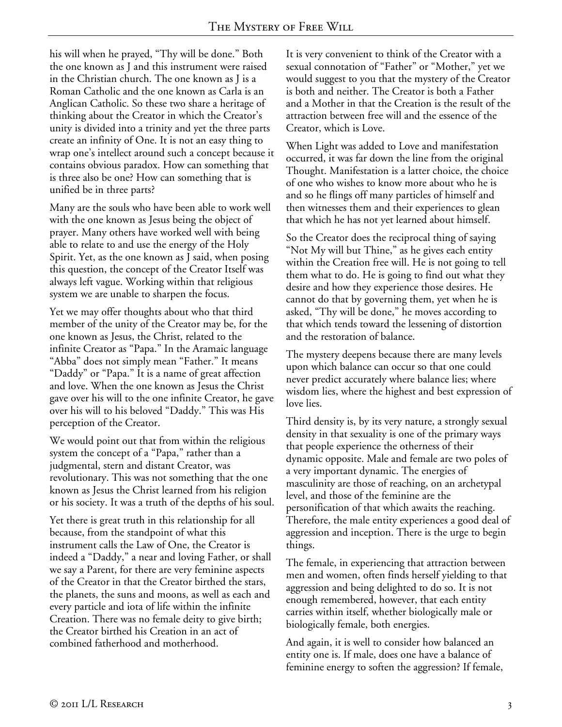his will when he prayed, "Thy will be done." Both the one known as J and this instrument were raised in the Christian church. The one known as J is a Roman Catholic and the one known as Carla is an Anglican Catholic. So these two share a heritage of thinking about the Creator in which the Creator's unity is divided into a trinity and yet the three parts create an infinity of One. It is not an easy thing to wrap one's intellect around such a concept because it contains obvious paradox. How can something that is three also be one? How can something that is unified be in three parts?

Many are the souls who have been able to work well with the one known as Jesus being the object of prayer. Many others have worked well with being able to relate to and use the energy of the Holy Spirit. Yet, as the one known as J said, when posing this question, the concept of the Creator Itself was always left vague. Working within that religious system we are unable to sharpen the focus.

Yet we may offer thoughts about who that third member of the unity of the Creator may be, for the one known as Jesus, the Christ, related to the infinite Creator as "Papa." In the Aramaic language "Abba" does not simply mean "Father." It means "Daddy" or "Papa." It is a name of great affection and love. When the one known as Jesus the Christ gave over his will to the one infinite Creator, he gave over his will to his beloved "Daddy." This was His perception of the Creator.

We would point out that from within the religious system the concept of a "Papa," rather than a judgmental, stern and distant Creator, was revolutionary. This was not something that the one known as Jesus the Christ learned from his religion or his society. It was a truth of the depths of his soul.

Yet there is great truth in this relationship for all because, from the standpoint of what this instrument calls the Law of One, the Creator is indeed a "Daddy," a near and loving Father, or shall we say a Parent, for there are very feminine aspects of the Creator in that the Creator birthed the stars, the planets, the suns and moons, as well as each and every particle and iota of life within the infinite Creation. There was no female deity to give birth; the Creator birthed his Creation in an act of combined fatherhood and motherhood.

It is very convenient to think of the Creator with a sexual connotation of "Father" or "Mother," yet we would suggest to you that the mystery of the Creator is both and neither. The Creator is both a Father and a Mother in that the Creation is the result of the attraction between free will and the essence of the Creator, which is Love.

When Light was added to Love and manifestation occurred, it was far down the line from the original Thought. Manifestation is a latter choice, the choice of one who wishes to know more about who he is and so he flings off many particles of himself and then witnesses them and their experiences to glean that which he has not yet learned about himself.

So the Creator does the reciprocal thing of saying "Not My will but Thine," as he gives each entity within the Creation free will. He is not going to tell them what to do. He is going to find out what they desire and how they experience those desires. He cannot do that by governing them, yet when he is asked, "Thy will be done," he moves according to that which tends toward the lessening of distortion and the restoration of balance.

The mystery deepens because there are many levels upon which balance can occur so that one could never predict accurately where balance lies; where wisdom lies, where the highest and best expression of love lies.

Third density is, by its very nature, a strongly sexual density in that sexuality is one of the primary ways that people experience the otherness of their dynamic opposite. Male and female are two poles of a very important dynamic. The energies of masculinity are those of reaching, on an archetypal level, and those of the feminine are the personification of that which awaits the reaching. Therefore, the male entity experiences a good deal of aggression and inception. There is the urge to begin things.

The female, in experiencing that attraction between men and women, often finds herself yielding to that aggression and being delighted to do so. It is not enough remembered, however, that each entity carries within itself, whether biologically male or biologically female, both energies.

And again, it is well to consider how balanced an entity one is. If male, does one have a balance of feminine energy to soften the aggression? If female,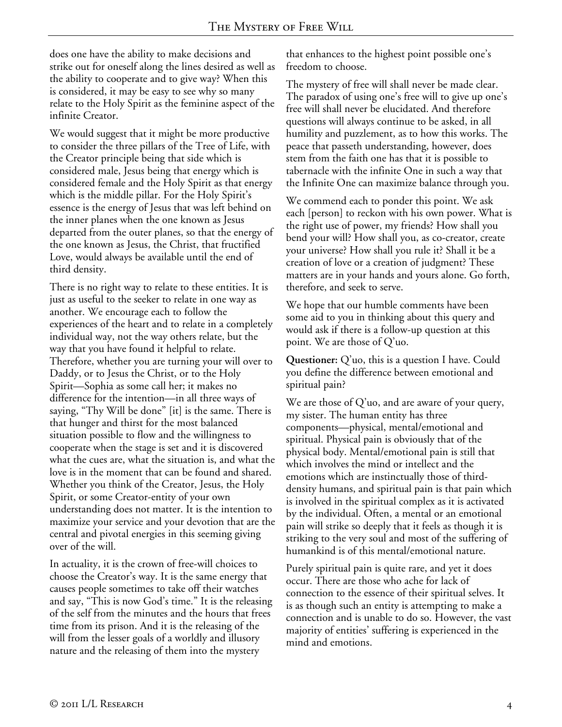does one have the ability to make decisions and strike out for oneself along the lines desired as well as the ability to cooperate and to give way? When this is considered, it may be easy to see why so many relate to the Holy Spirit as the feminine aspect of the infinite Creator.

We would suggest that it might be more productive to consider the three pillars of the Tree of Life, with the Creator principle being that side which is considered male, Jesus being that energy which is considered female and the Holy Spirit as that energy which is the middle pillar. For the Holy Spirit's essence is the energy of Jesus that was left behind on the inner planes when the one known as Jesus departed from the outer planes, so that the energy of the one known as Jesus, the Christ, that fructified Love, would always be available until the end of third density.

There is no right way to relate to these entities. It is just as useful to the seeker to relate in one way as another. We encourage each to follow the experiences of the heart and to relate in a completely individual way, not the way others relate, but the way that you have found it helpful to relate. Therefore, whether you are turning your will over to Daddy, or to Jesus the Christ, or to the Holy Spirit—Sophia as some call her; it makes no difference for the intention—in all three ways of saying, "Thy Will be done" [it] is the same. There is that hunger and thirst for the most balanced situation possible to flow and the willingness to cooperate when the stage is set and it is discovered what the cues are, what the situation is, and what the love is in the moment that can be found and shared. Whether you think of the Creator, Jesus, the Holy Spirit, or some Creator-entity of your own understanding does not matter. It is the intention to maximize your service and your devotion that are the central and pivotal energies in this seeming giving over of the will.

In actuality, it is the crown of free-will choices to choose the Creator's way. It is the same energy that causes people sometimes to take off their watches and say, "This is now God's time." It is the releasing of the self from the minutes and the hours that frees time from its prison. And it is the releasing of the will from the lesser goals of a worldly and illusory nature and the releasing of them into the mystery

that enhances to the highest point possible one's freedom to choose.

The mystery of free will shall never be made clear. The paradox of using one's free will to give up one's free will shall never be elucidated. And therefore questions will always continue to be asked, in all humility and puzzlement, as to how this works. The peace that passeth understanding, however, does stem from the faith one has that it is possible to tabernacle with the infinite One in such a way that the Infinite One can maximize balance through you.

We commend each to ponder this point. We ask each [person] to reckon with his own power. What is the right use of power, my friends? How shall you bend your will? How shall you, as co-creator, create your universe? How shall you rule it? Shall it be a creation of love or a creation of judgment? These matters are in your hands and yours alone. Go forth, therefore, and seek to serve.

We hope that our humble comments have been some aid to you in thinking about this query and would ask if there is a follow-up question at this point. We are those of Q'uo.

**Questioner:** Q'uo, this is a question I have. Could you define the difference between emotional and spiritual pain?

We are those of Q'uo, and are aware of your query, my sister. The human entity has three components—physical, mental/emotional and spiritual. Physical pain is obviously that of the physical body. Mental/emotional pain is still that which involves the mind or intellect and the emotions which are instinctually those of thirddensity humans, and spiritual pain is that pain which is involved in the spiritual complex as it is activated by the individual. Often, a mental or an emotional pain will strike so deeply that it feels as though it is striking to the very soul and most of the suffering of humankind is of this mental/emotional nature.

Purely spiritual pain is quite rare, and yet it does occur. There are those who ache for lack of connection to the essence of their spiritual selves. It is as though such an entity is attempting to make a connection and is unable to do so. However, the vast majority of entities' suffering is experienced in the mind and emotions.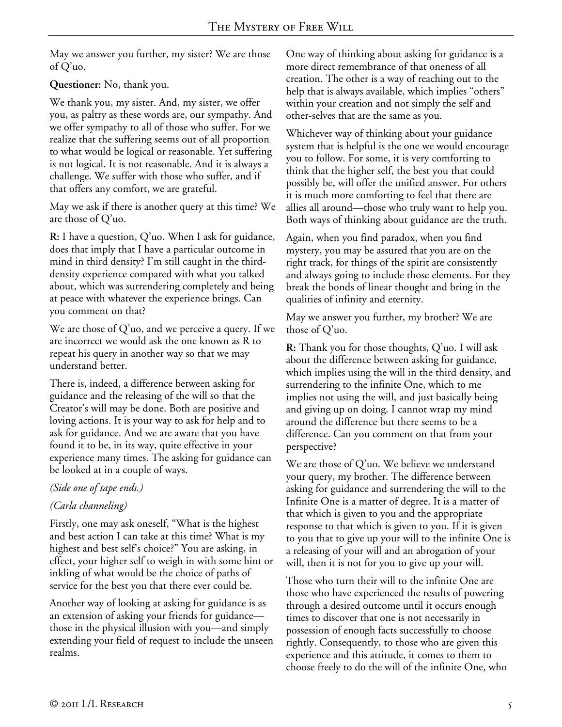May we answer you further, my sister? We are those of Q'uo.

# **Questioner:** No, thank you.

We thank you, my sister. And, my sister, we offer you, as paltry as these words are, our sympathy. And we offer sympathy to all of those who suffer. For we realize that the suffering seems out of all proportion to what would be logical or reasonable. Yet suffering is not logical. It is not reasonable. And it is always a challenge. We suffer with those who suffer, and if that offers any comfort, we are grateful.

May we ask if there is another query at this time? We are those of Q'uo.

**R:** I have a question, Q'uo. When I ask for guidance, does that imply that I have a particular outcome in mind in third density? I'm still caught in the thirddensity experience compared with what you talked about, which was surrendering completely and being at peace with whatever the experience brings. Can you comment on that?

We are those of Q'uo, and we perceive a query. If we are incorrect we would ask the one known as R to repeat his query in another way so that we may understand better.

There is, indeed, a difference between asking for guidance and the releasing of the will so that the Creator's will may be done. Both are positive and loving actions. It is your way to ask for help and to ask for guidance. And we are aware that you have found it to be, in its way, quite effective in your experience many times. The asking for guidance can be looked at in a couple of ways.

# *(Side one of tape ends.)*

# *(Carla channeling)*

Firstly, one may ask oneself, "What is the highest and best action I can take at this time? What is my highest and best self's choice?" You are asking, in effect, your higher self to weigh in with some hint or inkling of what would be the choice of paths of service for the best you that there ever could be.

Another way of looking at asking for guidance is as an extension of asking your friends for guidance those in the physical illusion with you—and simply extending your field of request to include the unseen realms.

One way of thinking about asking for guidance is a more direct remembrance of that oneness of all creation. The other is a way of reaching out to the help that is always available, which implies "others" within your creation and not simply the self and other-selves that are the same as you.

Whichever way of thinking about your guidance system that is helpful is the one we would encourage you to follow. For some, it is very comforting to think that the higher self, the best you that could possibly be, will offer the unified answer. For others it is much more comforting to feel that there are allies all around—those who truly want to help you. Both ways of thinking about guidance are the truth.

Again, when you find paradox, when you find mystery, you may be assured that you are on the right track, for things of the spirit are consistently and always going to include those elements. For they break the bonds of linear thought and bring in the qualities of infinity and eternity.

May we answer you further, my brother? We are those of Q'uo.

**R:** Thank you for those thoughts, Q'uo. I will ask about the difference between asking for guidance, which implies using the will in the third density, and surrendering to the infinite One, which to me implies not using the will, and just basically being and giving up on doing. I cannot wrap my mind around the difference but there seems to be a difference. Can you comment on that from your perspective?

We are those of Q'uo. We believe we understand your query, my brother. The difference between asking for guidance and surrendering the will to the Infinite One is a matter of degree. It is a matter of that which is given to you and the appropriate response to that which is given to you. If it is given to you that to give up your will to the infinite One is a releasing of your will and an abrogation of your will, then it is not for you to give up your will.

Those who turn their will to the infinite One are those who have experienced the results of powering through a desired outcome until it occurs enough times to discover that one is not necessarily in possession of enough facts successfully to choose rightly. Consequently, to those who are given this experience and this attitude, it comes to them to choose freely to do the will of the infinite One, who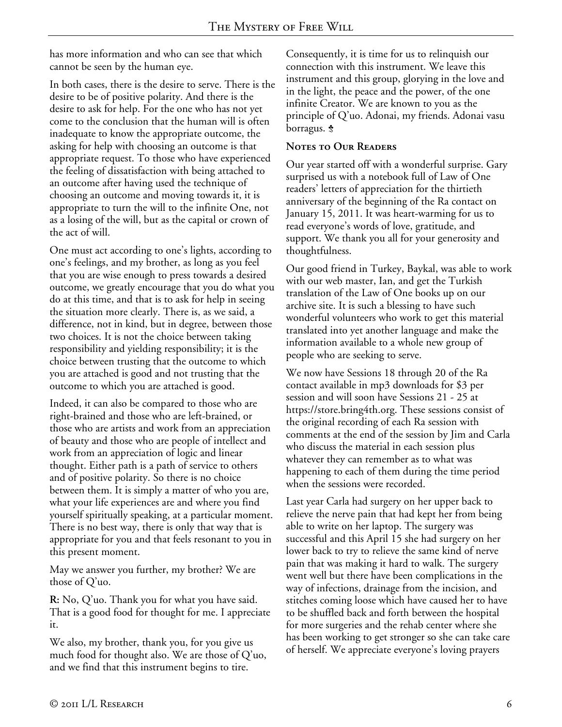has more information and who can see that which cannot be seen by the human eye.

In both cases, there is the desire to serve. There is the desire to be of positive polarity. And there is the desire to ask for help. For the one who has not yet come to the conclusion that the human will is often inadequate to know the appropriate outcome, the asking for help with choosing an outcome is that appropriate request. To those who have experienced the feeling of dissatisfaction with being attached to an outcome after having used the technique of choosing an outcome and moving towards it, it is appropriate to turn the will to the infinite One, not as a losing of the will, but as the capital or crown of the act of will.

One must act according to one's lights, according to one's feelings, and my brother, as long as you feel that you are wise enough to press towards a desired outcome, we greatly encourage that you do what you do at this time, and that is to ask for help in seeing the situation more clearly. There is, as we said, a difference, not in kind, but in degree, between those two choices. It is not the choice between taking responsibility and yielding responsibility; it is the choice between trusting that the outcome to which you are attached is good and not trusting that the outcome to which you are attached is good.

Indeed, it can also be compared to those who are right-brained and those who are left-brained, or those who are artists and work from an appreciation of beauty and those who are people of intellect and work from an appreciation of logic and linear thought. Either path is a path of service to others and of positive polarity. So there is no choice between them. It is simply a matter of who you are, what your life experiences are and where you find yourself spiritually speaking, at a particular moment. There is no best way, there is only that way that is appropriate for you and that feels resonant to you in this present moment.

May we answer you further, my brother? We are those of Q'uo.

**R:** No, Q'uo. Thank you for what you have said. That is a good food for thought for me. I appreciate it.

We also, my brother, thank you, for you give us much food for thought also. We are those of Q'uo, and we find that this instrument begins to tire.

Consequently, it is time for us to relinquish our connection with this instrument. We leave this instrument and this group, glorying in the love and in the light, the peace and the power, of the one infinite Creator. We are known to you as the principle of Q'uo. Adonai, my friends. Adonai vasu borragus. <del>\$</del>

## **Notes to Our Readers**

Our year started off with a wonderful surprise. Gary surprised us with a notebook full of Law of One readers' letters of appreciation for the thirtieth anniversary of the beginning of the Ra contact on January 15, 2011. It was heart-warming for us to read everyone's words of love, gratitude, and support. We thank you all for your generosity and thoughtfulness.

Our good friend in Turkey, Baykal, was able to work with our web master, Ian, and get the Turkish translation of the Law of One books up on our archive site. It is such a blessing to have such wonderful volunteers who work to get this material translated into yet another language and make the information available to a whole new group of people who are seeking to serve.

We now have Sessions 18 through 20 of the Ra contact available in mp3 downloads for \$3 per session and will soon have Sessions 21 - 25 at https://store.bring4th.org. These sessions consist of the original recording of each Ra session with comments at the end of the session by Jim and Carla who discuss the material in each session plus whatever they can remember as to what was happening to each of them during the time period when the sessions were recorded.

Last year Carla had surgery on her upper back to relieve the nerve pain that had kept her from being able to write on her laptop. The surgery was successful and this April 15 she had surgery on her lower back to try to relieve the same kind of nerve pain that was making it hard to walk. The surgery went well but there have been complications in the way of infections, drainage from the incision, and stitches coming loose which have caused her to have to be shuffled back and forth between the hospital for more surgeries and the rehab center where she has been working to get stronger so she can take care of herself. We appreciate everyone's loving prayers